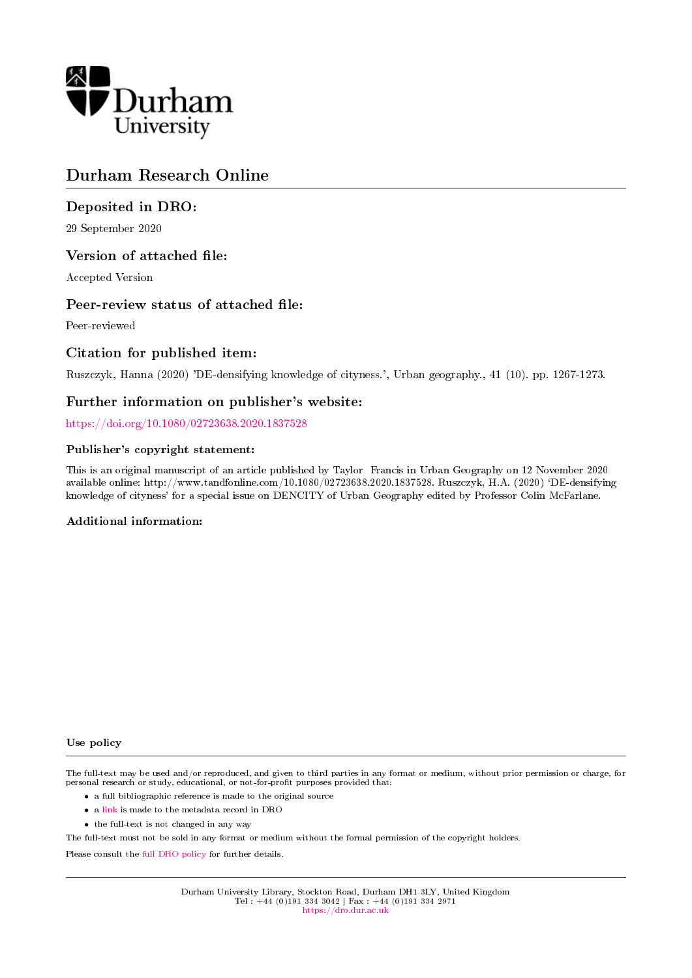

# Durham Research Online

## Deposited in DRO:

29 September 2020

## Version of attached file:

Accepted Version

## Peer-review status of attached file:

Peer-reviewed

## Citation for published item:

Ruszczyk, Hanna (2020) 'DE-densifying knowledge of cityness.', Urban geography., 41 (10). pp. 1267-1273.

## Further information on publisher's website:

<https://doi.org/10.1080/02723638.2020.1837528>

#### Publisher's copyright statement:

This is an original manuscript of an article published by Taylor Francis in Urban Geography on 12 November 2020 available online: http://www.tandfonline.com/10.1080/02723638.2020.1837528. Ruszczyk, H.A. (2020) `DE-densifying knowledge of cityness' for a special issue on DENCITY of Urban Geography edited by Professor Colin McFarlane.

#### Additional information:

#### Use policy

The full-text may be used and/or reproduced, and given to third parties in any format or medium, without prior permission or charge, for personal research or study, educational, or not-for-profit purposes provided that:

- a full bibliographic reference is made to the original source
- a [link](http://dro.dur.ac.uk/31789/) is made to the metadata record in DRO
- the full-text is not changed in any way

The full-text must not be sold in any format or medium without the formal permission of the copyright holders.

Please consult the [full DRO policy](https://dro.dur.ac.uk/policies/usepolicy.pdf) for further details.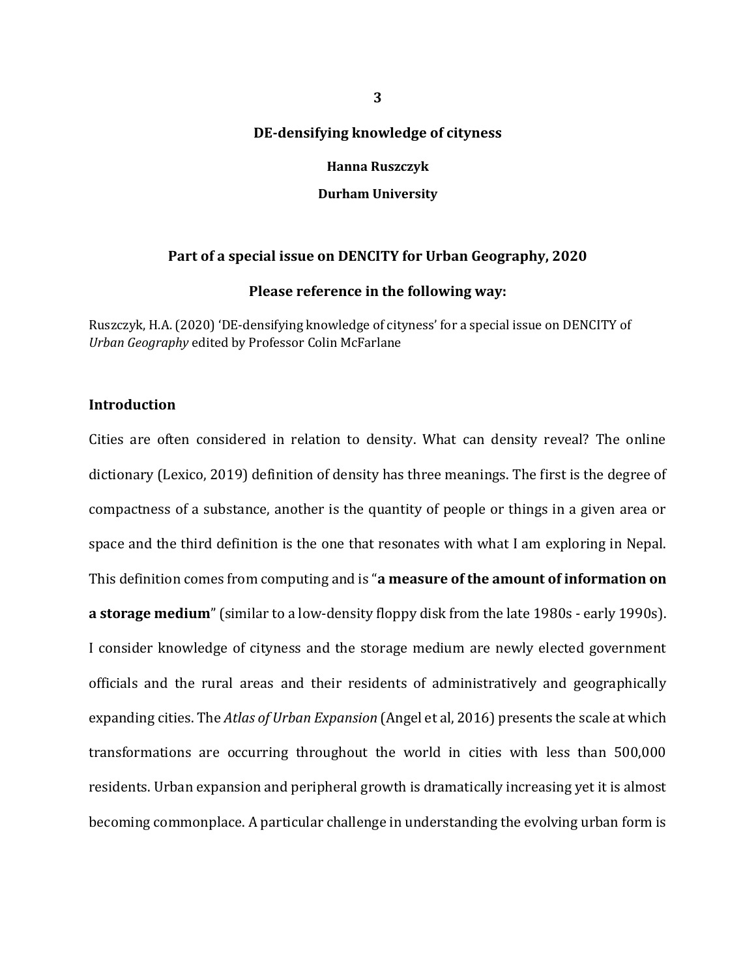#### **DE-densifying knowledge of cityness**

**Hanna Ruszczyk**

**Durham University**

#### **Part of a special issue on DENCITY for Urban Geography, 2020**

#### **Please reference in the following way:**

Ruszczyk, H.A. (2020) 'DE-densifying knowledge of cityness' for a special issue on DENCITY of *Urban Geography* edited by Professor Colin McFarlane

#### **Introduction**

Cities are often considered in relation to density. What can density reveal? The online dictionary (Lexico, 2019) definition of density has three meanings. The first is the degree of compactness of a substance, another is the quantity of people or things in a given area or space and the third definition is the one that resonates with what I am exploring in Nepal. This definition comes from computing and is "**a measure of the amount of information on a storage medium**" (similar to a low-density floppy disk from the late 1980s - early 1990s). I consider knowledge of cityness and the storage medium are newly elected government officials and the rural areas and their residents of administratively and geographically expanding cities. The *Atlas of Urban Expansion* (Angel et al, 2016) presents the scale at which transformations are occurring throughout the world in cities with less than 500,000 residents. Urban expansion and peripheral growth is dramatically increasing yet it is almost becoming commonplace. A particular challenge in understanding the evolving urban form is

**3**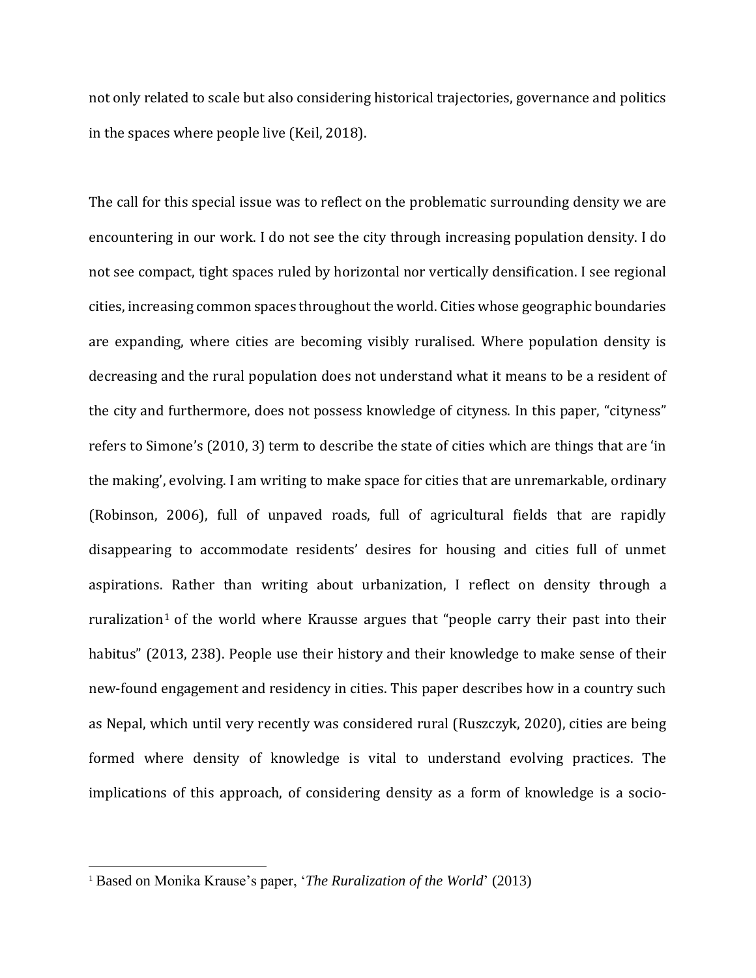not only related to scale but also considering historical trajectories, governance and politics in the spaces where people live (Keil, 2018).

The call for this special issue was to reflect on the problematic surrounding density we are encountering in our work. I do not see the city through increasing population density. I do not see compact, tight spaces ruled by horizontal nor vertically densification. I see regional cities, increasing common spaces throughout the world. Cities whose geographic boundaries are expanding, where cities are becoming visibly ruralised. Where population density is decreasing and the rural population does not understand what it means to be a resident of the city and furthermore, does not possess knowledge of cityness. In this paper, "cityness" refers to Simone's (2010, 3) term to describe the state of cities which are things that are 'in the making', evolving. I am writing to make space for cities that are unremarkable, ordinary (Robinson, 2006), full of unpaved roads, full of agricultural fields that are rapidly disappearing to accommodate residents' desires for housing and cities full of unmet aspirations. Rather than writing about urbanization, I reflect on density through a ruralization<sup>1</sup> of the world where Krausse argues that "people carry their past into their habitus" (2013, 238). People use their history and their knowledge to make sense of their new-found engagement and residency in cities. This paper describes how in a country such as Nepal, which until very recently was considered rural (Ruszczyk, 2020), cities are being formed where density of knowledge is vital to understand evolving practices. The implications of this approach, of considering density as a form of knowledge is a socio-

 $\overline{a}$ 

<sup>1</sup> Based on Monika Krause's paper, '*The Ruralization of the World*' (2013)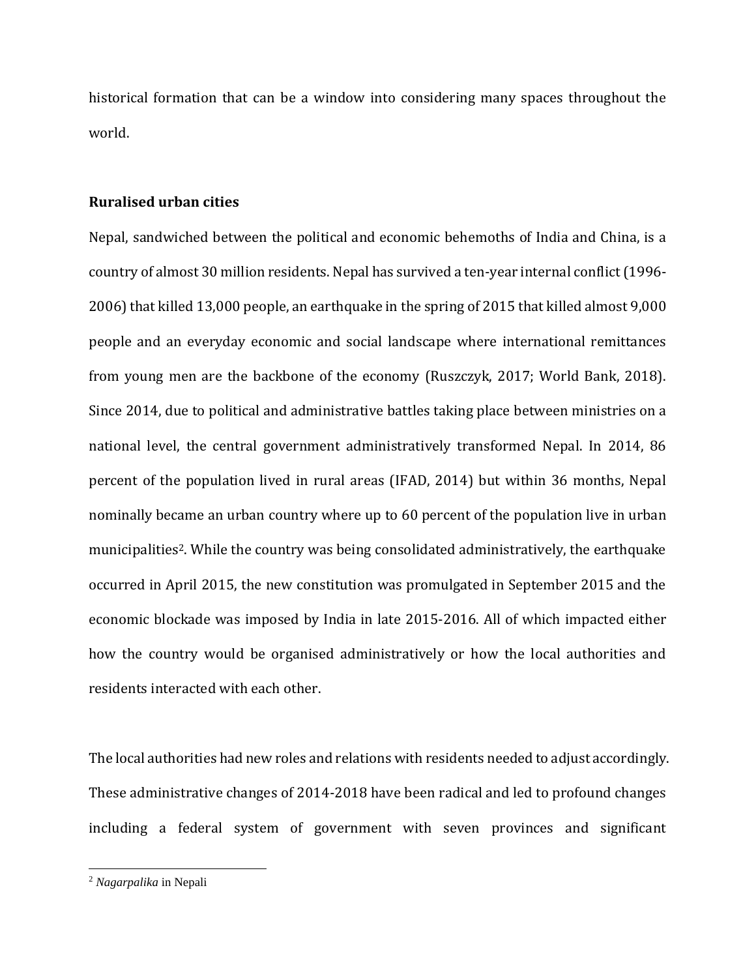historical formation that can be a window into considering many spaces throughout the world.

### **Ruralised urban cities**

Nepal, sandwiched between the political and economic behemoths of India and China, is a country of almost 30 million residents. Nepal has survived a ten-year internal conflict (1996- 2006) that killed 13,000 people, an earthquake in the spring of 2015 that killed almost 9,000 people and an everyday economic and social landscape where international remittances from young men are the backbone of the economy (Ruszczyk, 2017; World Bank, 2018). Since 2014, due to political and administrative battles taking place between ministries on a national level, the central government administratively transformed Nepal. In 2014, 86 percent of the population lived in rural areas (IFAD, 2014) but within 36 months, Nepal nominally became an urban country where up to 60 percent of the population live in urban municipalities<sup>2</sup>. While the country was being consolidated administratively, the earthquake occurred in April 2015, the new constitution was promulgated in September 2015 and the economic blockade was imposed by India in late 2015-2016. All of which impacted either how the country would be organised administratively or how the local authorities and residents interacted with each other.

The local authorities had new roles and relations with residents needed to adjust accordingly. These administrative changes of 2014-2018 have been radical and led to profound changes including a federal system of government with seven provinces and significant

 $\overline{\phantom{0}}$ 

<sup>2</sup> *Nagarpalika* in Nepali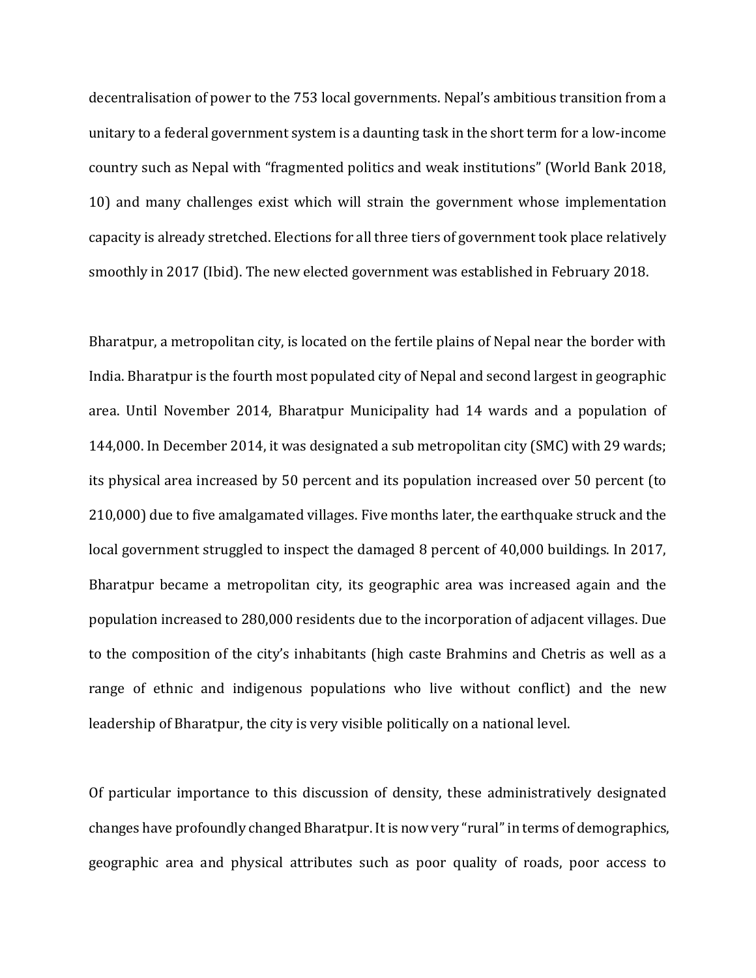decentralisation of power to the 753 local governments. Nepal's ambitious transition from a unitary to a federal government system is a daunting task in the short term for a low-income country such as Nepal with "fragmented politics and weak institutions" (World Bank 2018, 10) and many challenges exist which will strain the government whose implementation capacity is already stretched. Elections for all three tiers of government took place relatively smoothly in 2017 (Ibid). The new elected government was established in February 2018.

Bharatpur, a metropolitan city, is located on the fertile plains of Nepal near the border with India. Bharatpur is the fourth most populated city of Nepal and second largest in geographic area. Until November 2014, Bharatpur Municipality had 14 wards and a population of 144,000. In December 2014, it was designated a sub metropolitan city (SMC) with 29 wards; its physical area increased by 50 percent and its population increased over 50 percent (to 210,000) due to five amalgamated villages. Five months later, the earthquake struck and the local government struggled to inspect the damaged 8 percent of 40,000 buildings. In 2017, Bharatpur became a metropolitan city, its geographic area was increased again and the population increased to 280,000 residents due to the incorporation of adjacent villages. Due to the composition of the city's inhabitants (high caste Brahmins and Chetris as well as a range of ethnic and indigenous populations who live without conflict) and the new leadership of Bharatpur, the city is very visible politically on a national level.

Of particular importance to this discussion of density, these administratively designated changes have profoundly changed Bharatpur. It is now very "rural"in terms of demographics, geographic area and physical attributes such as poor quality of roads, poor access to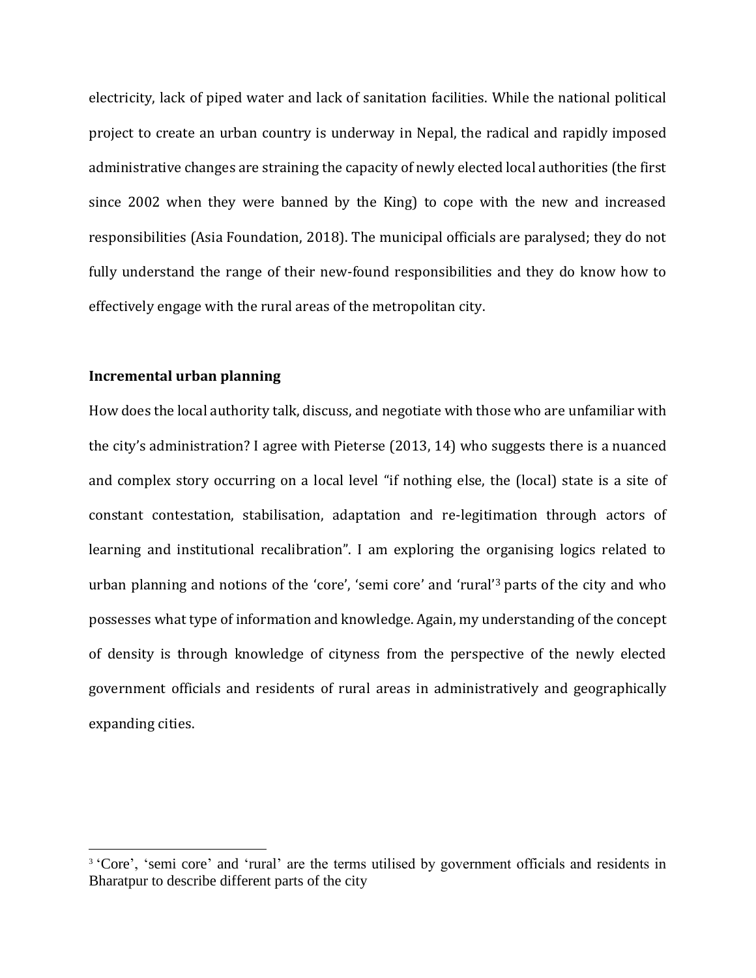electricity, lack of piped water and lack of sanitation facilities. While the national political project to create an urban country is underway in Nepal, the radical and rapidly imposed administrative changes are straining the capacity of newly elected local authorities (the first since 2002 when they were banned by the King) to cope with the new and increased responsibilities (Asia Foundation, 2018). The municipal officials are paralysed; they do not fully understand the range of their new-found responsibilities and they do know how to effectively engage with the rural areas of the metropolitan city.

## **Incremental urban planning**

 $\overline{\phantom{0}}$ 

How does the local authority talk, discuss, and negotiate with those who are unfamiliar with the city's administration? I agree with Pieterse (2013, 14) who suggests there is a nuanced and complex story occurring on a local level "if nothing else, the (local) state is a site of constant contestation, stabilisation, adaptation and re-legitimation through actors of learning and institutional recalibration". I am exploring the organising logics related to urban planning and notions of the 'core', 'semi core' and 'rural' <sup>3</sup> parts of the city and who possesses what type of information and knowledge. Again, my understanding of the concept of density is through knowledge of cityness from the perspective of the newly elected government officials and residents of rural areas in administratively and geographically expanding cities.

<sup>&</sup>lt;sup>3</sup> 'Core', 'semi core' and 'rural' are the terms utilised by government officials and residents in Bharatpur to describe different parts of the city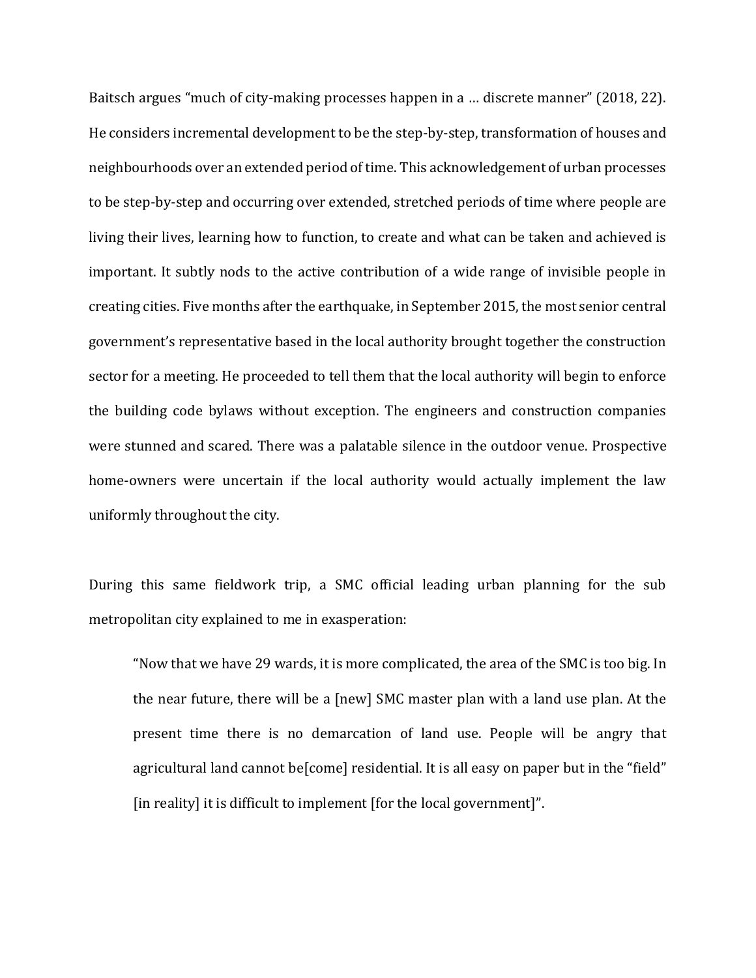Baitsch argues "much of city-making processes happen in a … discrete manner" (2018, 22). He considers incremental development to be the step-by-step, transformation of houses and neighbourhoods over an extended period of time. This acknowledgement of urban processes to be step-by-step and occurring over extended, stretched periods of time where people are living their lives, learning how to function, to create and what can be taken and achieved is important. It subtly nods to the active contribution of a wide range of invisible people in creating cities. Five months after the earthquake, in September 2015, the most senior central government's representative based in the local authority brought together the construction sector for a meeting. He proceeded to tell them that the local authority will begin to enforce the building code bylaws without exception. The engineers and construction companies were stunned and scared. There was a palatable silence in the outdoor venue. Prospective home-owners were uncertain if the local authority would actually implement the law uniformly throughout the city.

During this same fieldwork trip, a SMC official leading urban planning for the sub metropolitan city explained to me in exasperation:

"Now that we have 29 wards, it is more complicated, the area of the SMC is too big. In the near future, there will be a [new] SMC master plan with a land use plan. At the present time there is no demarcation of land use. People will be angry that agricultural land cannot be[come] residential. It is all easy on paper but in the "field" [in reality] it is difficult to implement [for the local government]".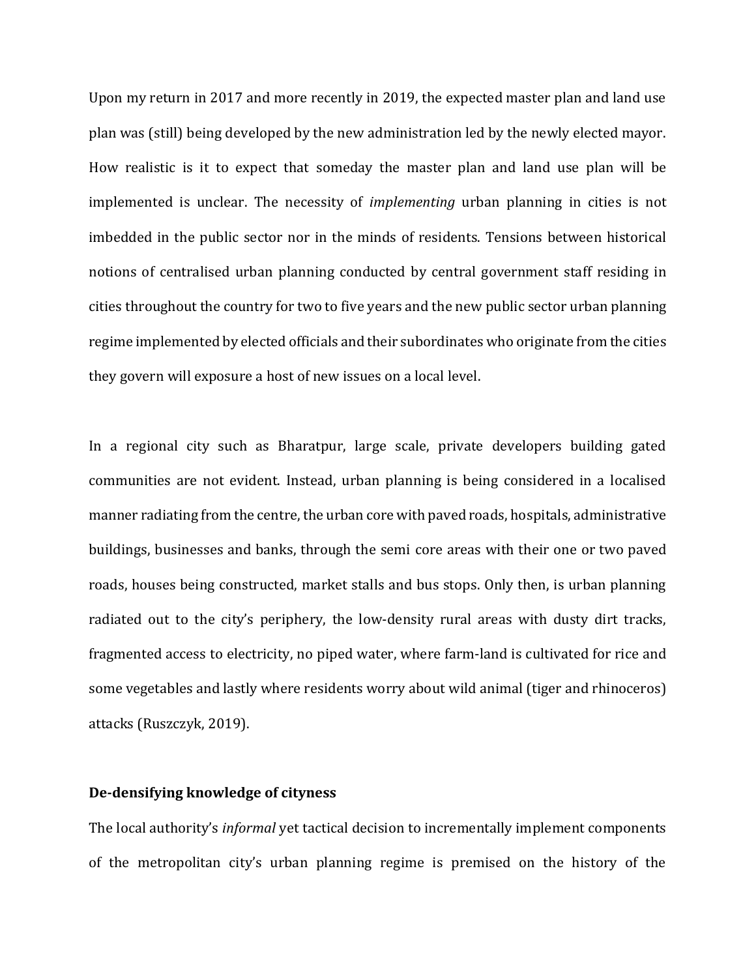Upon my return in 2017 and more recently in 2019, the expected master plan and land use plan was (still) being developed by the new administration led by the newly elected mayor. How realistic is it to expect that someday the master plan and land use plan will be implemented is unclear. The necessity of *implementing* urban planning in cities is not imbedded in the public sector nor in the minds of residents. Tensions between historical notions of centralised urban planning conducted by central government staff residing in cities throughout the country for two to five years and the new public sector urban planning regime implemented by elected officials and their subordinates who originate from the cities they govern will exposure a host of new issues on a local level.

In a regional city such as Bharatpur, large scale, private developers building gated communities are not evident. Instead, urban planning is being considered in a localised manner radiating from the centre, the urban core with paved roads, hospitals, administrative buildings, businesses and banks, through the semi core areas with their one or two paved roads, houses being constructed, market stalls and bus stops. Only then, is urban planning radiated out to the city's periphery, the low-density rural areas with dusty dirt tracks, fragmented access to electricity, no piped water, where farm-land is cultivated for rice and some vegetables and lastly where residents worry about wild animal (tiger and rhinoceros) attacks (Ruszczyk, 2019).

## **De-densifying knowledge of cityness**

The local authority's *informal* yet tactical decision to incrementally implement components of the metropolitan city's urban planning regime is premised on the history of the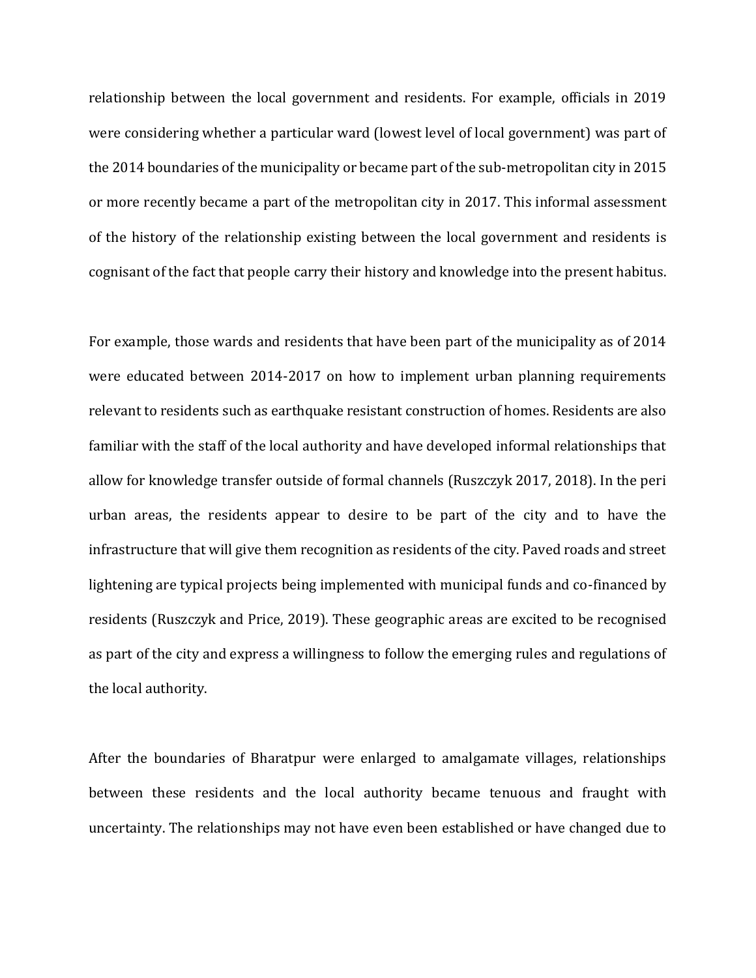relationship between the local government and residents. For example, officials in 2019 were considering whether a particular ward (lowest level of local government) was part of the 2014 boundaries of the municipality or became part of the sub-metropolitan city in 2015 or more recently became a part of the metropolitan city in 2017. This informal assessment of the history of the relationship existing between the local government and residents is cognisant of the fact that people carry their history and knowledge into the present habitus.

For example, those wards and residents that have been part of the municipality as of 2014 were educated between 2014-2017 on how to implement urban planning requirements relevant to residents such as earthquake resistant construction of homes. Residents are also familiar with the staff of the local authority and have developed informal relationships that allow for knowledge transfer outside of formal channels (Ruszczyk 2017, 2018). In the peri urban areas, the residents appear to desire to be part of the city and to have the infrastructure that will give them recognition as residents of the city. Paved roads and street lightening are typical projects being implemented with municipal funds and co-financed by residents (Ruszczyk and Price, 2019). These geographic areas are excited to be recognised as part of the city and express a willingness to follow the emerging rules and regulations of the local authority.

After the boundaries of Bharatpur were enlarged to amalgamate villages, relationships between these residents and the local authority became tenuous and fraught with uncertainty. The relationships may not have even been established or have changed due to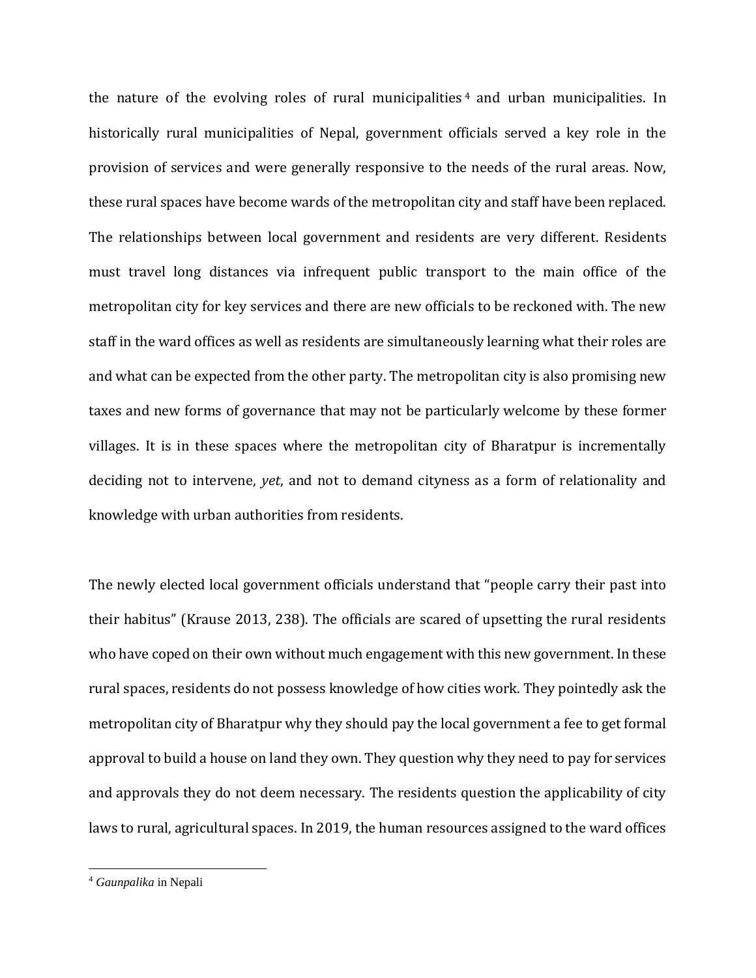the nature of the evolving roles of rural municipalities  $4$  and urban municipalities. In historically rural municipalities of Nepal, government officials served a key role in the provision of services and were generally responsive to the needs of the rural areas. Now, these rural spaces have become wards of the metropolitan city and staff have been replaced. The relationships between local government and residents are very different. Residents must travel long distances via infrequent public transport to the main office of the metropolitan city for key services and there are new officials to be reckoned with. The new staff in the ward offices as well as residents are simultaneously learning what their roles are and what can be expected from the other party. The metropolitan city is also promising new taxes and new forms of governance that may not be particularly welcome by these former villages. It is in these spaces where the metropolitan city of Bharatpur is incrementally deciding not to intervene, *yet*, and not to demand cityness as a form of relationality and knowledge with urban authorities from residents.

The newly elected local government officials understand that "people carry their past into their habitus" (Krause 2013, 238). The officials are scared of upsetting the rural residents who have coped on their own without much engagement with this new government. In these rural spaces, residents do not possess knowledge of how cities work. They pointedly ask the metropolitan city of Bharatpur why they should pay the local government a fee to get formal approval to build a house on land they own. They question why they need to pay for services and approvals they do not deem necessary. The residents question the applicability of city laws to rural, agricultural spaces. In 2019, the human resources assigned to the ward offices

 $\overline{\phantom{0}}$ 

<sup>4</sup> *Gaunpalika* in Nepali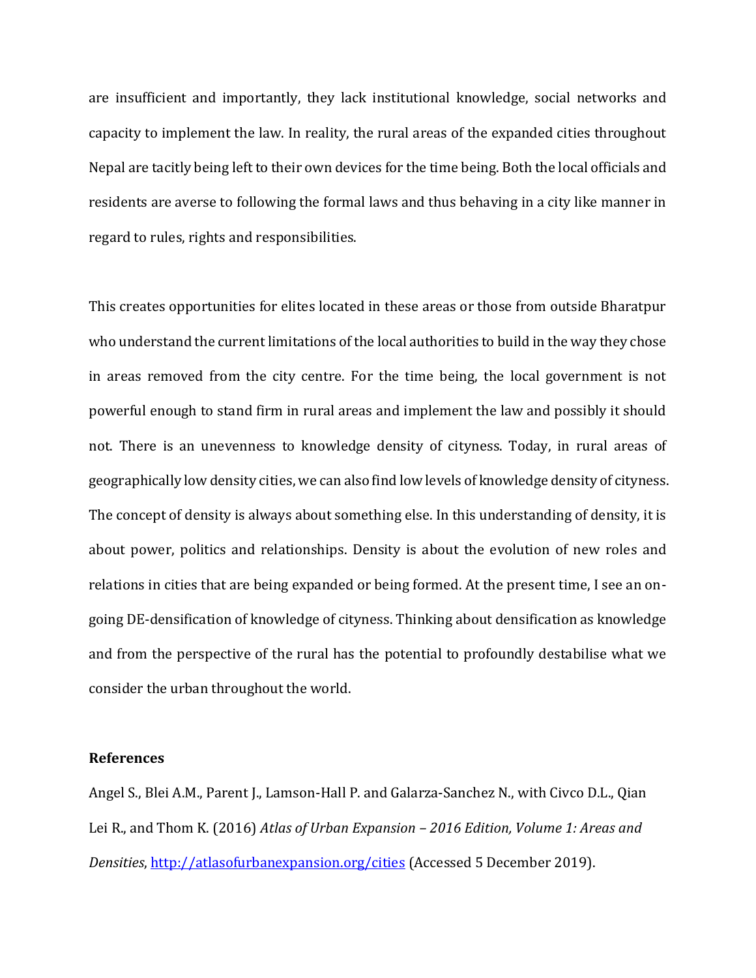are insufficient and importantly, they lack institutional knowledge, social networks and capacity to implement the law. In reality, the rural areas of the expanded cities throughout Nepal are tacitly being left to their own devices for the time being. Both the local officials and residents are averse to following the formal laws and thus behaving in a city like manner in regard to rules, rights and responsibilities.

This creates opportunities for elites located in these areas or those from outside Bharatpur who understand the current limitations of the local authorities to build in the way they chose in areas removed from the city centre. For the time being, the local government is not powerful enough to stand firm in rural areas and implement the law and possibly it should not. There is an unevenness to knowledge density of cityness. Today, in rural areas of geographically low density cities, we can also find low levels of knowledge density of cityness. The concept of density is always about something else. In this understanding of density, it is about power, politics and relationships. Density is about the evolution of new roles and relations in cities that are being expanded or being formed. At the present time, I see an ongoing DE-densification of knowledge of cityness. Thinking about densification as knowledge and from the perspective of the rural has the potential to profoundly destabilise what we consider the urban throughout the world.

## **References**

Angel S., Blei A.M., Parent J., Lamson-Hall P. and Galarza-Sanchez N., with Civco D.L., Qian Lei R., and Thom K. (2016) *Atlas of Urban Expansion – 2016 Edition, Volume 1: Areas and Densities*, <http://atlasofurbanexpansion.org/cities> (Accessed 5 December 2019).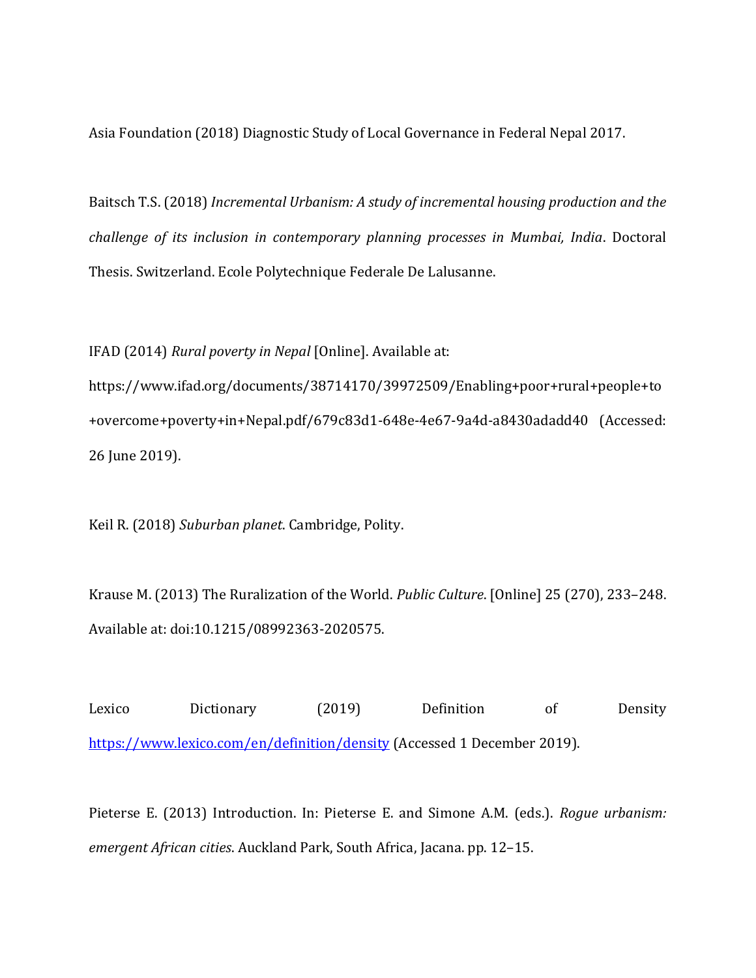Asia Foundation (2018) Diagnostic Study of Local Governance in Federal Nepal 2017.

Baitsch T.S. (2018) *Incremental Urbanism: A study of incremental housing production and the challenge of its inclusion in contemporary planning processes in Mumbai, India*. Doctoral Thesis. Switzerland. Ecole Polytechnique Federale De Lalusanne.

IFAD (2014) *Rural poverty in Nepal* [Online]. Available at:

https://www.ifad.org/documents/38714170/39972509/Enabling+poor+rural+people+to +overcome+poverty+in+Nepal.pdf/679c83d1-648e-4e67-9a4d-a8430adadd40 (Accessed: 26 June 2019).

Keil R. (2018) *Suburban planet*. Cambridge, Polity.

Krause M. (2013) The Ruralization of the World. *Public Culture*. [Online] 25 (270), 233–248. Available at: doi:10.1215/08992363-2020575.

Lexico Dictionary (2019) Definition of Density <https://www.lexico.com/en/definition/density> (Accessed 1 December 2019).

Pieterse E. (2013) Introduction. In: Pieterse E. and Simone A.M. (eds.). *Rogue urbanism: emergent African cities*. Auckland Park, South Africa, Jacana. pp. 12–15.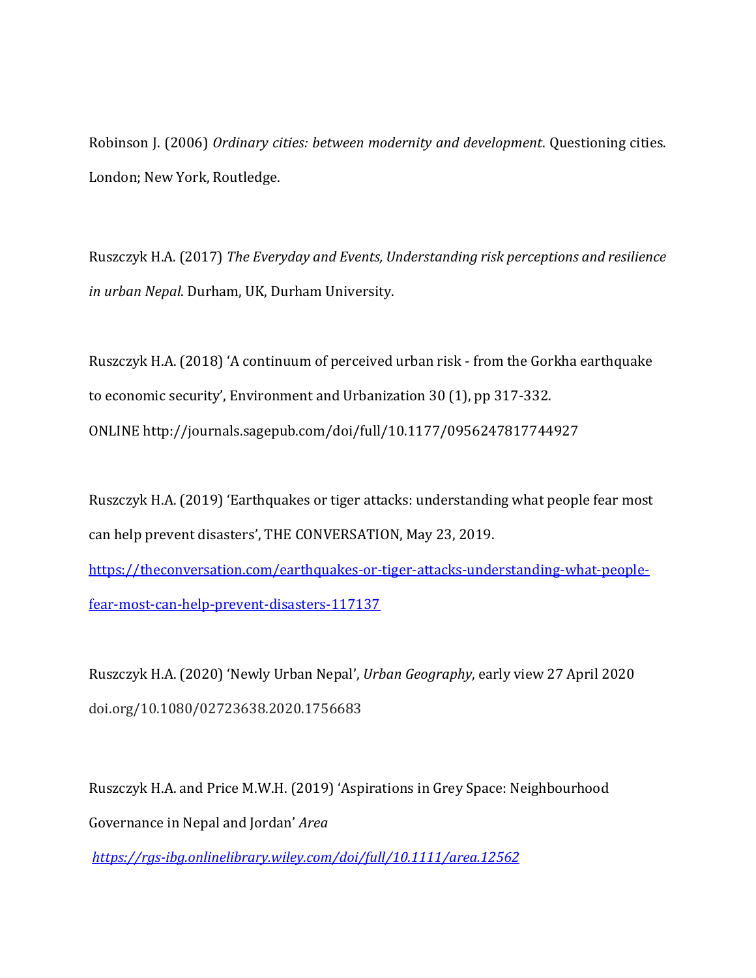Robinson J. (2006) *Ordinary cities: between modernity and development*. Questioning cities. London; New York, Routledge.

Ruszczyk H.A. (2017) *The Everyday and Events, Understanding risk perceptions and resilience in urban Nepal*. Durham, UK, Durham University.

Ruszczyk H.A. (2018) 'A continuum of perceived urban risk - from the Gorkha earthquake to economic security', Environment and Urbanization 30 (1), pp 317-332. ONLINE <http://journals.sagepub.com/doi/full/10.1177/0956247817744927>

Ruszczyk H.A. (2019) 'Earthquakes or tiger attacks: understanding what people fear most can help prevent disasters', THE CONVERSATION, May 23, 2019.

[https://theconversation.com/earthquakes-or-tiger-attacks-understanding-what-people](https://theconversation.com/earthquakes-or-tiger-attacks-understanding-what-people-fear-most-can-help-prevent-disasters-117137)[fear-most-can-help-prevent-disasters-117137](https://theconversation.com/earthquakes-or-tiger-attacks-understanding-what-people-fear-most-can-help-prevent-disasters-117137)

Ruszczyk H.A. (2020) 'Newly Urban Nepal', *Urban Geography*, early view 27 April 2020 doi.org/10.1080/02723638.2020.1756683

Ruszczyk H.A. and Price M.W.H. (2019) 'Aspirations in Grey Space: Neighbourhood Governance in Nepal and Jordan' *Area*

*<https://rgs-ibg.onlinelibrary.wiley.com/doi/full/10.1111/area.12562>*